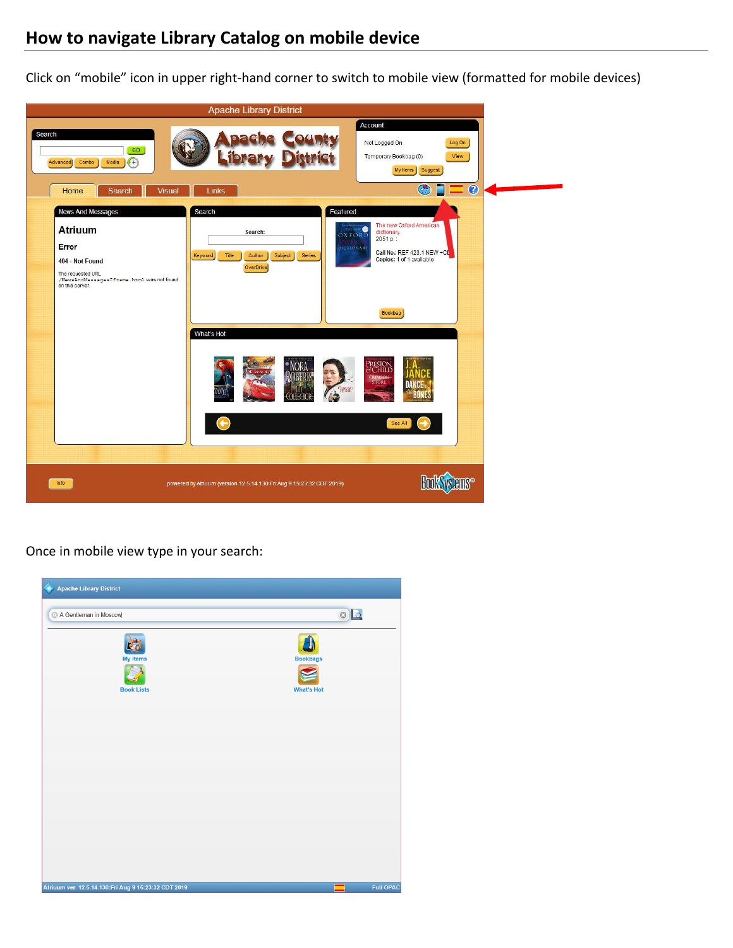## **How to navigate Library Catalog on mobile device**

Click on "mobile" icon in upper right-hand corner to switch to mobile view (formatted for mobile devices)



Once in mobile view type in your search:

| Apache Library District                              |                                      |
|------------------------------------------------------|--------------------------------------|
| A Gentleman in Moscow                                | $\circ$                              |
| <b>My Items</b><br><b>Book Lists</b>                 | <b>Bookbags</b><br><b>What's Hot</b> |
|                                                      |                                      |
|                                                      |                                      |
|                                                      |                                      |
|                                                      |                                      |
|                                                      |                                      |
| Atriuum ver. 12.5.14.130:Fri Aug 9 15:23:32 CDT 2019 | <b>Full OPAC</b><br>▀                |